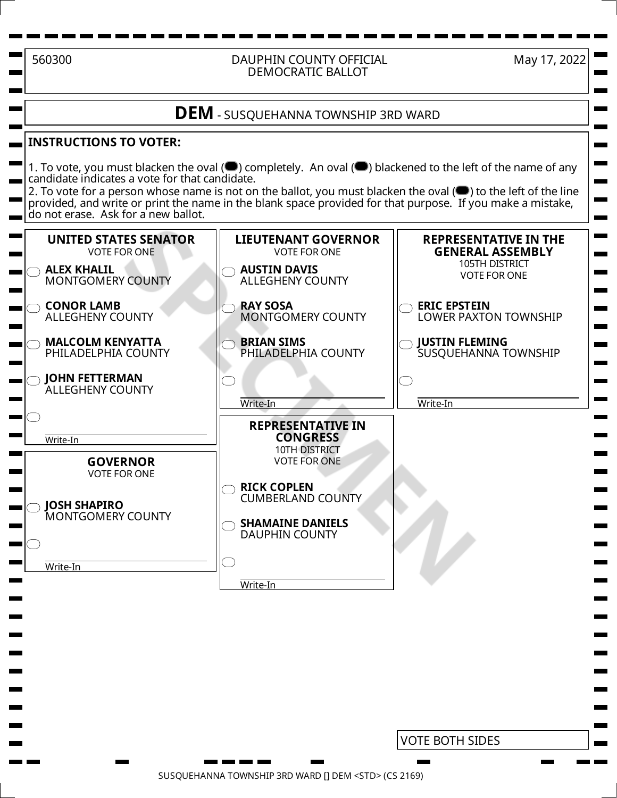## 560300 DAUPHIN COUNTY OFFICIAL DEMOCRATIC BALLOT

## **DEM** - SUSQUEHANNA TOWNSHIP 3RD WARD

## **INSTRUCTIONS TO VOTER:**

1. To vote, you must blacken the oval ( $\bigcirc$ ) completely. An oval ( $\bigcirc$ ) blackened to the left of the name of any candidate indicates a vote for that candidate.

2. To vote for a person whose name is not on the ballot, you must blacken the oval  $(\blacksquare)$  to the left of the line provided, and write or print the name in the blank space provided for that purpose. If you make a mistake, do not erase. Ask for a new ballot.



VOTE BOTH SIDES